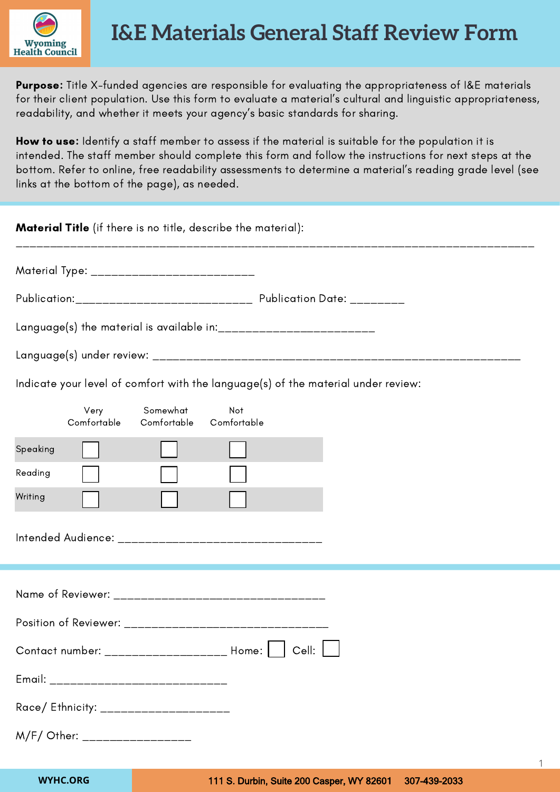

Purpose: Title X-funded agencies are responsible for evaluating the appropriateness of I&E materials for their client population. Use this form to evaluate a material's cultural and linguistic appropriateness, readability, and whether it meets your agency's basic standards for sharing.

How to use: Identify a staff member to assess if the material is suitable for the population it is intended. The staff member should complete this form and follow the instructions for next steps at the bottom. Refer to online, free readability assessments to determine a material's reading grade level (see links at the bottom of the page), as needed.

| <b>Material Title</b> (if there is no title, describe the material):              |  |  |  |  |
|-----------------------------------------------------------------------------------|--|--|--|--|
| Material Type: ___________________________                                        |  |  |  |  |
|                                                                                   |  |  |  |  |
| Language(s) the material is available in: __________________________              |  |  |  |  |
|                                                                                   |  |  |  |  |
| Indicate your level of comfort with the language(s) of the material under review: |  |  |  |  |
| Somewhat<br>Not<br>Very<br>Comfortable<br>Comfortable<br>Comfortable              |  |  |  |  |
| Speaking                                                                          |  |  |  |  |
| Reading                                                                           |  |  |  |  |
| Writing                                                                           |  |  |  |  |
|                                                                                   |  |  |  |  |
| Name of Reviewer: __________________________________                              |  |  |  |  |
|                                                                                   |  |  |  |  |
| Contact number: ___________________ Home: [<br>Cell:                              |  |  |  |  |
| Email: _______________________________                                            |  |  |  |  |
| Race/ Ethnicity: ____________________                                             |  |  |  |  |
| M/F/ Other: _________________                                                     |  |  |  |  |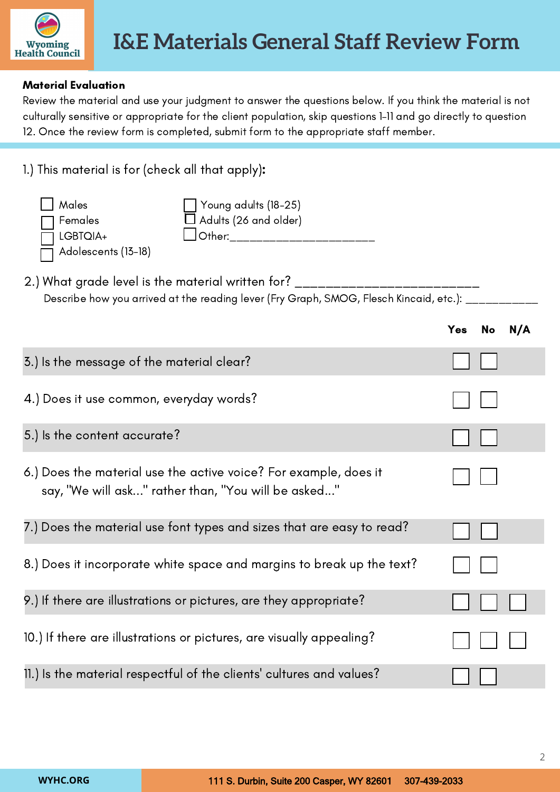

## Material Evaluation

Review the material and use your judgment to answer the questions below. If you think the material is not culturally sensitive or appropriate for the client population, skip questions 1–11 and go directly to question 12. Once the review form is completed, submit form to the appropriate staff member.

| 1.) This material is for (check all that apply):                                                                                                                         |     |    |     |  |
|--------------------------------------------------------------------------------------------------------------------------------------------------------------------------|-----|----|-----|--|
| Males<br>Young adults (18-25)<br>Adults (26 and older)<br>Females<br>Other:__________________________<br>LGBTQIA+<br>Adolescents (13-18)                                 |     |    |     |  |
| 2.) What grade level is the material written for? ______________________<br>Describe how you arrived at the reading lever (Fry Graph, SMOG, Flesch Kincaid, etc.): _____ |     |    |     |  |
|                                                                                                                                                                          | Yes | No | N/A |  |
| 3.) Is the message of the material clear?                                                                                                                                |     |    |     |  |
| 4.) Does it use common, everyday words?                                                                                                                                  |     |    |     |  |
| 5.) Is the content accurate?                                                                                                                                             |     |    |     |  |
| 6.) Does the material use the active voice? For example, does it<br>say, "We will ask" rather than, "You will be asked"                                                  |     |    |     |  |
| 7.) Does the material use font types and sizes that are easy to read?                                                                                                    |     |    |     |  |
| 8.) Does it incorporate white space and margins to break up the text?                                                                                                    |     |    |     |  |
| 9.) If there are illustrations or pictures, are they appropriate?                                                                                                        |     |    |     |  |
| 10.) If there are illustrations or pictures, are visually appealing?                                                                                                     |     |    |     |  |
| 11.) Is the material respectful of the clients' cultures and values?                                                                                                     |     |    |     |  |